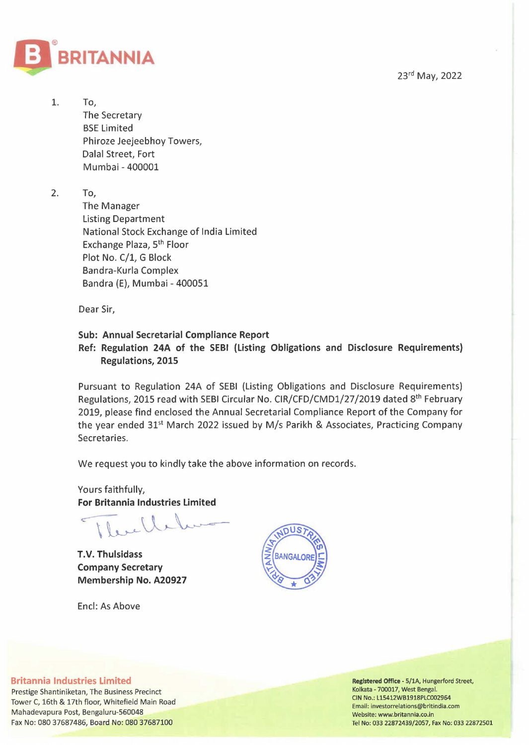23rd May, 2022



1. To, The Secretary BSE Limited Phiroze Jeejeebhoy Towers, Dalal Street, Fort Mumbai- 400001

2. To,

The Manager Listing Department National Stock Exchange of India Limited Exchange Plaza, 5th Floor Plot No. C/1, G Block Bandra-Kurla Complex Bandra (E), Mumbai- 400051

Dear Sir,

## **Sub: Annual Secretarial Compliance Report**

## **Ref: Regulation 24A of the SEBI (Listing Obligations and Disclosure Requirements) Regulations, 2015**

Pursuant to Regulation 24A of SEBI (Listing Obligations and Disclosure Requirements) Regulations, 2015 read with SEBI Circular No. CIR/CFD/CMD1/27/2019 dated 8<sup>th</sup> February 2019, please find enclosed the Annual Secretarial Compliance Report of the Company for the year ended 31<sup>st</sup> March 2022 issued by M/s Parikh & Associates, Practicing Company Secretaries.

We request you to kindly take the above information on records.

Yours faithfully, **For Britannia Industries Limited** 

**T.V. Thulsidass Company Secretary Membership No. A20927** 

Encl: As Above



## **Britannia Industries Limited**

Prestige Shantiniketan, The Business Precinct Tower C, 16th & 17th floor, Whitefield Main Road Mahadevapura Post, Bengaluru-560048 Fax No: 080 37687486, Board No: 080 37687100

Registered Office- 5/1A, Hungerford Street, Kolkata- 700017, West Bengal. CIN No.: L15412WB1918PLC002964 Email: investorrelations@britindia.com Website: www.britannia.co.in Tel No: 033 22872439/2057, Fax No: 033 22872501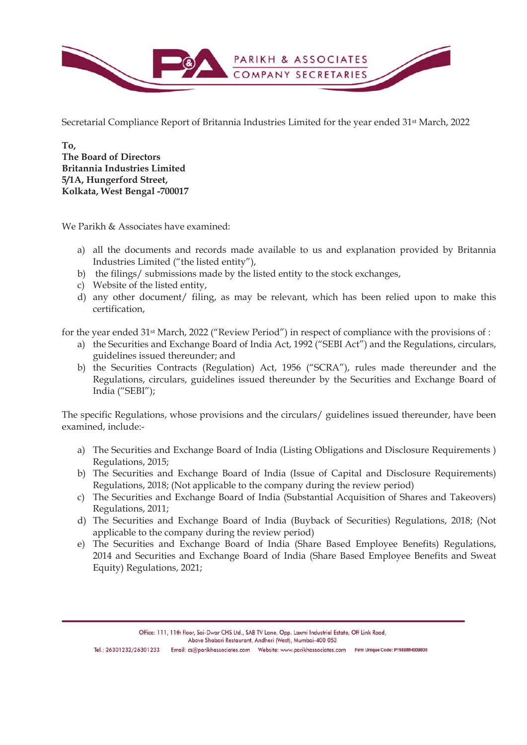

Secretarial Compliance Report of Britannia Industries Limited for the year ended 31st March, 2022

**To, The Board of Directors Britannia Industries Limited 5/1A, Hungerford Street, Kolkata, West Bengal -700017** 

We Parikh & Associates have examined:

- a) all the documents and records made available to us and explanation provided by Britannia Industries Limited ("the listed entity"),
- b) the filings/ submissions made by the listed entity to the stock exchanges,
- c) Website of the listed entity,
- d) any other document/ filing, as may be relevant, which has been relied upon to make this certification,

for the year ended 31st March, 2022 ("Review Period") in respect of compliance with the provisions of :

- a) the Securities and Exchange Board of India Act, 1992 ("SEBI Act") and the Regulations, circulars, guidelines issued thereunder; and
- b) the Securities Contracts (Regulation) Act, 1956 ("SCRA"), rules made thereunder and the Regulations, circulars, guidelines issued thereunder by the Securities and Exchange Board of India ("SEBI");

The specific Regulations, whose provisions and the circulars/ guidelines issued thereunder, have been examined, include:-

- a) The Securities and Exchange Board of India (Listing Obligations and Disclosure Requirements ) Regulations, 2015;
- b) The Securities and Exchange Board of India (Issue of Capital and Disclosure Requirements) Regulations, 2018; (Not applicable to the company during the review period)
- c) The Securities and Exchange Board of India (Substantial Acquisition of Shares and Takeovers) Regulations, 2011;
- d) The Securities and Exchange Board of India (Buyback of Securities) Regulations, 2018; (Not applicable to the company during the review period)
- e) The Securities and Exchange Board of India (Share Based Employee Benefits) Regulations, 2014 and Securities and Exchange Board of India (Share Based Employee Benefits and Sweat Equity) Regulations, 2021;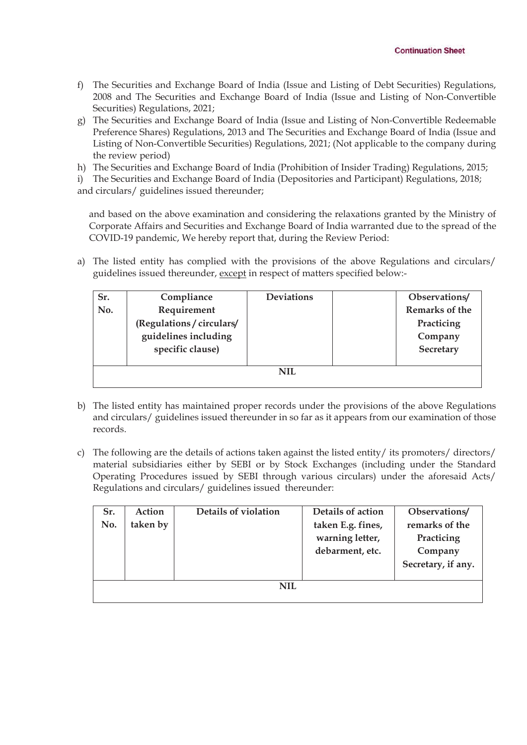- f) The Securities and Exchange Board of India (Issue and Listing of Debt Securities) Regulations, 2008 and The Securities and Exchange Board of India (Issue and Listing of Non-Convertible Securities) Regulations, 2021;
- g) The Securities and Exchange Board of India (Issue and Listing of Non-Convertible Redeemable Preference Shares) Regulations, 2013 and The Securities and Exchange Board of India (Issue and Listing of Non-Convertible Securities) Regulations, 2021; (Not applicable to the company during the review period)
- h) The Securities and Exchange Board of India (Prohibition of Insider Trading) Regulations, 2015;
- i) The Securities and Exchange Board of India (Depositories and Participant) Regulations, 2018;

and circulars/ guidelines issued thereunder;

and based on the above examination and considering the relaxations granted by the Ministry of Corporate Affairs and Securities and Exchange Board of India warranted due to the spread of the COVID-19 pandemic, We hereby report that, during the Review Period:

a) The listed entity has complied with the provisions of the above Regulations and circulars/ guidelines issued thereunder, except in respect of matters specified below:-

| Sr. | Compliance                | <b>Deviations</b> | Observations/  |  |  |
|-----|---------------------------|-------------------|----------------|--|--|
| No. | Requirement               |                   | Remarks of the |  |  |
|     | (Regulations / circulars/ |                   | Practicing     |  |  |
|     | guidelines including      |                   | Company        |  |  |
|     | specific clause)          |                   | Secretary      |  |  |
|     |                           |                   |                |  |  |
| NH. |                           |                   |                |  |  |

- b) The listed entity has maintained proper records under the provisions of the above Regulations and circulars/ guidelines issued thereunder in so far as it appears from our examination of those records.
- c) The following are the details of actions taken against the listed entity/ its promoters/ directors/ material subsidiaries either by SEBI or by Stock Exchanges (including under the Standard Operating Procedures issued by SEBI through various circulars) under the aforesaid Acts/ Regulations and circulars/ guidelines issued thereunder:

| Sr.        | Action   | Details of violation | Details of action                                       | Observations/                                                 |  |  |
|------------|----------|----------------------|---------------------------------------------------------|---------------------------------------------------------------|--|--|
| No.        | taken by |                      | taken E.g. fines,<br>warning letter,<br>debarment, etc. | remarks of the<br>Practicing<br>Company<br>Secretary, if any. |  |  |
| <b>NIL</b> |          |                      |                                                         |                                                               |  |  |